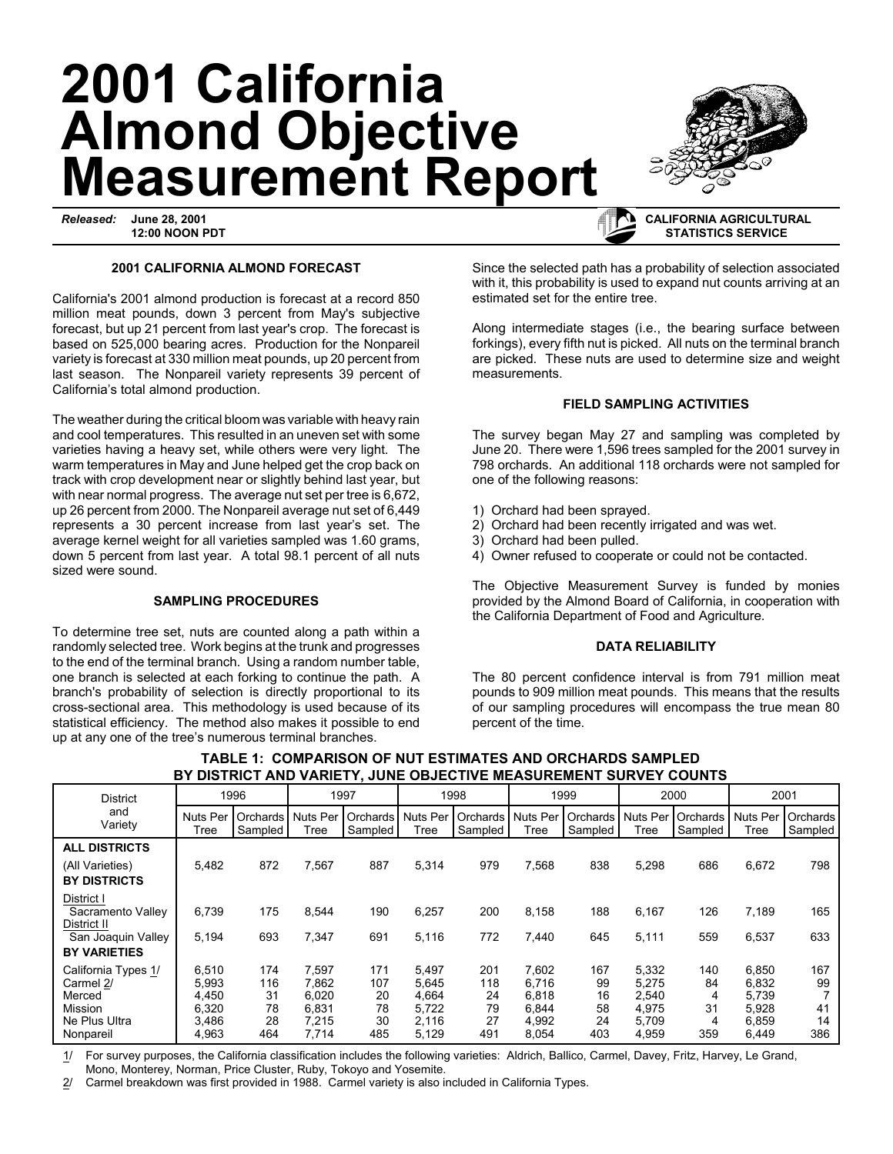# **2001 California Almond Objective Measurement Report**

*Released:* **June 28, 2001 12:00 NOON PDT**

### **2001 CALIFORNIA ALMOND FORECAST**

California's 2001 almond production is forecast at a record 850 million meat pounds, down 3 percent from May's subjective forecast, but up 21 percent from last year's crop. The forecast is based on 525,000 bearing acres. Production for the Nonpareil variety is forecast at 330 million meat pounds, up 20 percent from last season. The Nonpareil variety represents 39 percent of California's total almond production.

The weather during the critical bloom was variable with heavy rain and cool temperatures. This resulted in an uneven set with some varieties having a heavy set, while others were very light. The warm temperatures in May and June helped get the crop back on track with crop development near or slightly behind last year, but with near normal progress. The average nut set per tree is 6,672, up 26 percent from 2000. The Nonpareil average nut set of 6,449 represents a 30 percent increase from last year's set. The average kernel weight for all varieties sampled was 1.60 grams, down 5 percent from last year. A total 98.1 percent of all nuts sized were sound.

## **SAMPLING PROCEDURES**

To determine tree set, nuts are counted along a path within a randomly selected tree. Work begins at the trunk and progresses to the end of the terminal branch. Using a random number table, one branch is selected at each forking to continue the path. A branch's probability of selection is directly proportional to its cross-sectional area. This methodology is used because of its statistical efficiency. The method also makes it possible to end up at any one of the tree's numerous terminal branches.

Since the selected path has a probability of selection associated with it, this probability is used to expand nut counts arriving at an estimated set for the entire tree.

Along intermediate stages (i.e., the bearing surface between forkings), every fifth nut is picked. All nuts on the terminal branch are picked. These nuts are used to determine size and weight measurements.

## **FIELD SAMPLING ACTIVITIES**

The survey began May 27 and sampling was completed by June 20. There were 1,596 trees sampled for the 2001 survey in 798 orchards. An additional 118 orchards were not sampled for one of the following reasons:

- 1) Orchard had been sprayed.
- 2) Orchard had been recently irrigated and was wet.
- 3) Orchard had been pulled.
- 4) Owner refused to cooperate or could not be contacted.

The Objective Measurement Survey is funded by monies provided by the Almond Board of California, in cooperation with the California Department of Food and Agriculture.

#### **DATA RELIABILITY**

The 80 percent confidence interval is from 791 million meat pounds to 909 million meat pounds. This means that the results of our sampling procedures will encompass the true mean 80 percent of the time.

| <b>District</b><br>and<br>Variety                                      | 1996                                      |                                         | 1997                                      |                              | 1998                                      |                              | 1999                                      |                             | 2000                                      |                           | 2001                                      |                       |
|------------------------------------------------------------------------|-------------------------------------------|-----------------------------------------|-------------------------------------------|------------------------------|-------------------------------------------|------------------------------|-------------------------------------------|-----------------------------|-------------------------------------------|---------------------------|-------------------------------------------|-----------------------|
|                                                                        | <b>Nuts Per</b><br>Tree                   | Orchards <sup>1</sup><br><b>Sampled</b> | <b>Nuts Per</b><br>Tree                   | Orchards<br>Sampled          | <b>Nuts Per</b><br>Tree                   | Orchards<br>Sampled          | <b>Nuts Per</b><br>Tree                   | <b>Orchards</b><br>Sampled  | <b>Nuts Per</b><br>Tree                   | Orchards<br>Sampled       | <b>Nuts Per</b><br>Tree                   | Orchards<br>Sampled   |
| <b>ALL DISTRICTS</b>                                                   |                                           |                                         |                                           |                              |                                           |                              |                                           |                             |                                           |                           |                                           |                       |
| (All Varieties)                                                        | 5,482                                     | 872                                     | 7,567                                     | 887                          | 5,314                                     | 979                          | 7,568                                     | 838                         | 5,298                                     | 686                       | 6,672                                     | 798                   |
| <b>BY DISTRICTS</b>                                                    |                                           |                                         |                                           |                              |                                           |                              |                                           |                             |                                           |                           |                                           |                       |
| District I<br>Sacramento Valley<br>District II                         | 6,739                                     | 175                                     | 8,544                                     | 190                          | 6,257                                     | 200                          | 8,158                                     | 188                         | 6,167                                     | 126                       | 7,189                                     | 165                   |
| San Joaquin Valley                                                     | 5,194                                     | 693                                     | 7,347                                     | 691                          | 5,116                                     | 772                          | 7,440                                     | 645                         | 5,111                                     | 559                       | 6,537                                     | 633                   |
| <b>BY VARIETIES</b>                                                    |                                           |                                         |                                           |                              |                                           |                              |                                           |                             |                                           |                           |                                           |                       |
| California Types 1/<br>Carmel 2/<br>Merced<br>Mission<br>Ne Plus Ultra | 6,510<br>5,993<br>4.450<br>6,320<br>3,486 | 174<br>116<br>31<br>78<br>28            | 7,597<br>7.862<br>6.020<br>6,831<br>7,215 | 171<br>107<br>20<br>78<br>30 | 5,497<br>5.645<br>4.664<br>5.722<br>2,116 | 201<br>118<br>24<br>79<br>27 | 7,602<br>6.716<br>6,818<br>6,844<br>4,992 | 167<br>99<br>16<br>58<br>24 | 5,332<br>5,275<br>2,540<br>4,975<br>5,709 | 140<br>84<br>4<br>31<br>4 | 6,850<br>6,832<br>5.739<br>5,928<br>6,859 | 167<br>99<br>41<br>14 |
| Nonpareil                                                              | 4,963                                     | 464                                     | 7,714                                     | 485                          | 5,129                                     | 491                          | 8,054                                     | 403                         | 4,959                                     | 359                       | 6,449                                     | 386                   |

# **TABLE 1: COMPARISON OF NUT ESTIMATES AND ORCHARDS SAMPLED BY DISTRICT AND VARIETY, JUNE OBJECTIVE MEASUREMENT SURVEY COUNTS**

1/ For survey purposes, the California classification includes the following varieties: Aldrich, Ballico, Carmel, Davey, Fritz, Harvey, Le Grand, Mono, Monterey, Norman, Price Cluster, Ruby, Tokoyo and Yosemite.

2/ Carmel breakdown was first provided in 1988. Carmel variety is also included in California Types.



# **CALIFORNIA AGRICULTURAL STATISTICS SERVICE**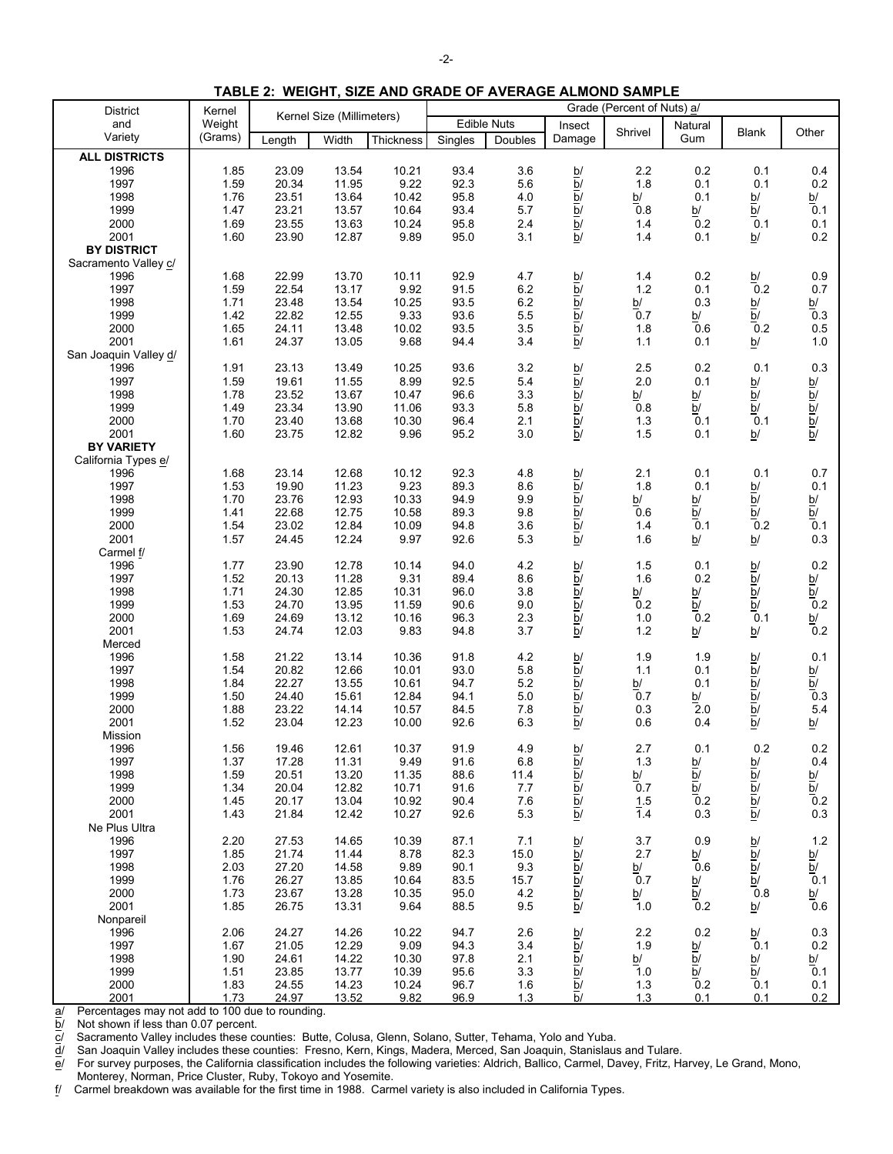| <b>District</b>       | Kernel  |                           |       |           | Grade (Percent of Nuts) a/ |         |                                     |                                            |                          |                                               |                                            |  |
|-----------------------|---------|---------------------------|-------|-----------|----------------------------|---------|-------------------------------------|--------------------------------------------|--------------------------|-----------------------------------------------|--------------------------------------------|--|
| and                   | Weight  | Kernel Size (Millimeters) |       |           | <b>Edible Nuts</b>         |         | Insect                              |                                            | Natural                  |                                               |                                            |  |
| Variety               | (Grams) | Length                    | Width | Thickness | Singles                    | Doubles | Damage                              | Shrivel                                    | Gum                      | <b>Blank</b>                                  | Other                                      |  |
| <b>ALL DISTRICTS</b>  |         |                           |       |           |                            |         |                                     |                                            |                          |                                               |                                            |  |
| 1996                  | 1.85    | 23.09                     | 13.54 | 10.21     | 93.4                       | 3.6     |                                     | 2.2                                        | 0.2                      | 0.1                                           | 0.4                                        |  |
| 1997                  | 1.59    | 20.34                     | 11.95 | 9.22      | 92.3                       | 5.6     | $\frac{b}{b}$                       | 1.8                                        | 0.1                      | 0.1                                           | 0.2                                        |  |
| 1998                  | 1.76    | 23.51                     | 13.64 | 10.42     | 95.8                       | 4.0     |                                     | $\frac{\mathsf{b}^{\prime}}{\mathsf{0.8}}$ | 0.1                      | b/                                            |                                            |  |
| 1999                  | 1.47    | 23.21                     | 13.57 | 10.64     | 93.4                       | 5.7     | $\frac{\overline{p}}{\overline{p}}$ |                                            | b/                       | $\overline{b}$                                | $\frac{b}{0}$ .1                           |  |
| 2000                  | 1.69    | 23.55                     | 13.63 | 10.24     | 95.8                       | 2.4     |                                     | 1.4                                        | 0.2                      | 0.1                                           | 0.1                                        |  |
| 2001                  | 1.60    | 23.90                     | 12.87 | 9.89      | 95.0                       | 3.1     | $\overline{b}$                      | 1.4                                        | 0.1                      | b/                                            | 0.2                                        |  |
| <b>BY DISTRICT</b>    |         |                           |       |           |                            |         |                                     |                                            |                          |                                               |                                            |  |
| Sacramento Valley c/  |         |                           |       |           |                            |         |                                     |                                            |                          |                                               |                                            |  |
| 1996                  | 1.68    | 22.99                     | 13.70 | 10.11     | 92.9                       | 4.7     |                                     | 1.4                                        | 0.2                      | b/                                            | 0.9                                        |  |
| 1997                  | 1.59    | 22.54                     | 13.17 | 9.92      | 91.5                       | 6.2     | $\frac{b}{b}$                       | 1.2                                        | 0.1                      | 0.2                                           | 0.7                                        |  |
| 1998                  | 1.71    | 23.48                     | 13.54 | 10.25     | 93.5                       | 6.2     |                                     | b/                                         | 0.3                      | b/                                            |                                            |  |
| 1999                  | 1.42    | 22.82                     | 12.55 | 9.33      | 93.6                       | 5.5     |                                     | 0.7                                        | b/                       | $\overline{b}$                                | $\frac{b}{0.3}$                            |  |
| 2000                  | 1.65    | 24.11                     | 13.48 | 10.02     | 93.5                       | 3.5     |                                     | 1.8                                        | 0.6                      | 0.2                                           | 0.5                                        |  |
| 2001                  | 1.61    | 24.37                     | 13.05 | 9.68      | 94.4                       | 3.4     | $\frac{1}{2}$<br>$\frac{1}{2}$      | 1.1                                        | 0.1                      | $\underline{\mathsf{b}}$                      | $1.0$                                      |  |
| San Joaquin Valley d/ |         |                           |       |           |                            |         |                                     |                                            |                          |                                               |                                            |  |
| 1996                  | 1.91    | 23.13                     | 13.49 | 10.25     | 93.6                       | 3.2     |                                     | 2.5                                        | 0.2                      | 0.1                                           | 0.3                                        |  |
| 1997                  | 1.59    | 19.61                     | 11.55 | 8.99      | 92.5                       | 5.4     | $\frac{\overline{p}}{\overline{p}}$ | 2.0                                        | 0.1                      |                                               |                                            |  |
| 1998                  | 1.78    | 23.52                     | 13.67 | 10.47     | 96.6                       | 3.3     |                                     | b/                                         | b/                       | $\frac{b}{b}$                                 |                                            |  |
| 1999                  | 1.49    | 23.34                     | 13.90 | 11.06     | 93.3                       | 5.8     |                                     | 0.8                                        | $\overline{b}$ /         |                                               |                                            |  |
| 2000                  | 1.70    | 23.40                     | 13.68 | 10.30     | 96.4                       | 2.1     |                                     | 1.3                                        | 0.1                      | $\frac{\overline{b}}{0.1}$                    |                                            |  |
| 2001                  | 1.60    | 23.75                     | 12.82 | 9.96      | 95.2                       | 3.0     | $\overline{b}$                      | 1.5                                        | 0.1                      | b/                                            | $\frac{\overline{a}}{\overline{b}}$        |  |
| <b>BY VARIETY</b>     |         |                           |       |           |                            |         |                                     |                                            |                          |                                               |                                            |  |
| California Types e/   |         |                           |       |           |                            |         |                                     |                                            |                          |                                               |                                            |  |
| 1996                  | 1.68    | 23.14                     | 12.68 | 10.12     | 92.3                       | 4.8     | b/                                  | 2.1                                        | 0.1                      | 0.1                                           | 0.7                                        |  |
| 1997                  | 1.53    | 19.90                     | 11.23 | 9.23      | 89.3                       | 8.6     | $\overline{b}$                      | 1.8                                        | 0.1                      |                                               | 0.1                                        |  |
| 1998                  | 1.70    | 23.76                     | 12.93 | 10.33     | 94.9                       | 9.9     | $\overline{b}$                      | b/                                         | <u>b/</u>                | $\frac{b}{b}$                                 | b/                                         |  |
| 1999                  | 1.41    | 22.68                     | 12.75 | 10.58     | 89.3                       | 9.8     |                                     | 0.6                                        | $\overline{b}$           | $\overline{b}$                                |                                            |  |
| 2000                  | 1.54    | 23.02                     | 12.84 | 10.09     | 94.8                       | 3.6     | $\frac{\overline{b}}{\overline{b}}$ | 1.4                                        | 0.1                      | 0.2                                           | $\frac{\overline{b}}{0.1}$                 |  |
| 2001                  | 1.57    | 24.45                     | 12.24 | 9.97      | 92.6                       | 5.3     | $\overline{b}$                      | 1.6                                        | $\underline{\mathsf{b}}$ | b/                                            | 0.3                                        |  |
| Carmel f/             |         |                           |       |           |                            |         |                                     |                                            |                          |                                               |                                            |  |
| 1996                  | 1.77    | 23.90                     | 12.78 | 10.14     | 94.0                       | 4.2     |                                     | 1.5                                        | 0.1                      | b/                                            | 0.2                                        |  |
| 1997                  | 1.52    | 20.13                     | 11.28 | 9.31      | 89.4                       | 8.6     | $\frac{b}{b}$                       | 1.6                                        | 0.2                      | $\overline{b}$                                |                                            |  |
| 1998                  | 1.71    | 24.30                     | 12.85 | 10.31     | 96.0                       | 3.8     |                                     | b/                                         |                          |                                               |                                            |  |
| 1999                  | 1.53    | 24.70                     | 13.95 | 11.59     | 90.6                       | $9.0\,$ | $\frac{\overline{b}}{\overline{b}}$ | 0.2                                        | $\frac{b}{b}$            | $\frac{\overline{b}}{\underline{b}}$          | $\frac{b}{\frac{b}{c}}$                    |  |
| 2000                  | 1.69    | 24.69                     | 13.12 | 10.16     | 96.3                       | 2.3     |                                     | 1.0                                        | 0.2                      | 0.1                                           |                                            |  |
| 2001                  | 1.53    | 24.74                     | 12.03 | 9.83      | 94.8                       | 3.7     | $\frac{\overline{b}}{\overline{b}}$ | $1.2$                                      | $\underline{b}$          | b/                                            | $\frac{\mathsf{b}^{\prime}}{\mathsf{0.2}}$ |  |
| Merced                |         |                           |       |           |                            |         |                                     |                                            |                          |                                               |                                            |  |
| 1996                  | 1.58    | 21.22                     | 13.14 | 10.36     | 91.8                       | 4.2     | b/                                  | 1.9                                        | 1.9                      | b/                                            | 0.1                                        |  |
| 1997                  | 1.54    | 20.82                     | 12.66 | 10.01     | 93.0                       | 5.8     | $\overline{b}$                      | 1.1                                        | 0.1                      |                                               |                                            |  |
| 1998                  | 1.84    | 22.27                     | 13.55 | 10.61     | 94.7                       | 5.2     |                                     | b/                                         | 0.1                      |                                               | $\frac{b}{b}$                              |  |
| 1999                  | 1.50    | 24.40                     | 15.61 | 12.84     | 94.1                       | $5.0\,$ |                                     | 0.7                                        | b/                       |                                               | 0.3                                        |  |
| 2000                  | 1.88    | 23.22                     | 14.14 | 10.57     | 84.5                       | 7.8     | $\frac{b}{b}$                       | 0.3                                        | 2.0                      | $\frac{\overline{a}}{\overline{b}}$           | 5.4                                        |  |
| 2001                  | 1.52    | 23.04                     | 12.23 | 10.00     | 92.6                       | 6.3     | $\overline{b}$                      | 0.6                                        | 0.4                      |                                               |                                            |  |
| Mission               |         |                           |       |           |                            |         |                                     |                                            |                          |                                               | b/                                         |  |
| 1996                  | 1.56    | 19.46                     | 12.61 | 10.37     | 91.9                       | 4.9     | b/                                  | 2.7                                        | 0.1                      | 0.2                                           | 0.2                                        |  |
| 1997                  | 1.37    | 17.28                     | 11.31 | 9.49      | 91.6                       | 6.8     |                                     | $1.3$                                      |                          |                                               | 0.4                                        |  |
| 1998                  | 1.59    | 20.51                     | 13.20 | 11.35     | 88.6                       | 11.4    | b/<br>$\overline{b}$                | b/                                         | $\frac{b}{b}$            | $\frac{\overline{\alpha}}{\overline{\alpha}}$ |                                            |  |
| 1999                  | 1.34    | 20.04                     | 12.82 | 10.71     | 91.6                       | 7.7     | $\overline{b}$                      | 0.7                                        | $\overline{b}$           |                                               | $\frac{b}{b}$                              |  |
| 2000                  | 1.45    | 20.17                     | 13.04 | 10.92     | 90.4                       | 7.6     |                                     |                                            | 0.2                      |                                               | 0.2                                        |  |
| 2001                  |         |                           |       |           |                            |         | $\overline{b}$                      | 1.5<br>$\overline{1}$ .4                   |                          |                                               | 0.3                                        |  |
|                       | 1.43    | 21.84                     | 12.42 | 10.27     | 92.6                       | 5.3     | $\overline{b}$                      |                                            | 0.3                      |                                               |                                            |  |
| Ne Plus Ultra<br>1996 |         |                           |       |           |                            |         |                                     |                                            |                          |                                               |                                            |  |
|                       | 2.20    | 27.53                     | 14.65 | 10.39     | 87.1                       | 7.1     | b/                                  | 3.7                                        | 0.9                      |                                               | 1.2                                        |  |
| 1997                  | 1.85    | 21.74                     | 11.44 | 8.78      | 82.3                       | 15.0    | $\overline{b}$                      | 2.7                                        | b/                       | $\frac{b}{b}$                                 | $\frac{\frac{b}{b}}{0.1}$                  |  |
| 1998                  | 2.03    | 27.20                     | 14.58 | 9.89      | 90.1                       | 9.3     | $\overline{b}$                      | b/                                         | 0.6                      |                                               |                                            |  |
| 1999                  | 1.76    | 26.27                     | 13.85 | 10.64     | 83.5                       | 15.7    | $\overline{b}$                      | 0.7                                        | $\frac{b}{b}$            | $\overline{b}$                                |                                            |  |
| 2000                  | 1.73    | 23.67                     | 13.28 | 10.35     | 95.0                       | 4.2     | $\overline{b}$                      | b/                                         |                          | 0.8                                           | $\frac{b}{0.6}$                            |  |
| 2001                  | 1.85    | 26.75                     | 13.31 | 9.64      | 88.5                       | 9.5     | $\overline{b}$                      | 1.0                                        | 0.2                      | b/                                            |                                            |  |
| Nonpareil             |         |                           |       |           |                            |         |                                     |                                            |                          |                                               |                                            |  |
| 1996                  | 2.06    | 24.27                     | 14.26 | 10.22     | 94.7                       | 2.6     | b/                                  | 2.2                                        | 0.2                      | b/                                            | 0.3                                        |  |
| 1997                  | 1.67    | 21.05                     | 12.29 | 9.09      | 94.3                       | 3.4     | $\overline{b}$                      | 1.9                                        | <u>b/</u>                | 0.1                                           | $0.2\,$                                    |  |

**TABLE 2: WEIGHT, SIZE AND GRADE OF AVERAGE ALMOND SAMPLE**

 $\frac{a}{b}$  Percentages may not add to 100 due to rounding.<br> $\frac{b}{c}$  Not shown if less than 0.07 percent.

Not shown if less than 0.07 percent.

 $\overline{c}$ / Sacramento Valley includes these counties: Butte, Colusa, Glenn, Solano, Sutter, Tehama, Yolo and Yuba.<br> $\overline{d}$ / San Joaquin Valley includes these counties: Fresno, Kern, Kings, Madera, Merced, San Joaquin, Sta

d/ San Joaquin Valley includes these counties: Fresno, Kern, Kings, Madera, Merced, San Joaquin, Stanislaus and Tulare.

e/ For survey purposes, the California classification includes the following varieties: Aldrich, Ballico, Carmel, Davey, Fritz, Harvey, Le Grand, Mono, Monterey, Norman, Price Cluster, Ruby, Tokoyo and Yosemite.<br>
f/ Carmel breakdown was available for the first time in 1988. Carn

1998 | 1.90 24.61 14.22 10.30 97.8 2.1 <u>b</u>/ <u>b</u>/ <u>b</u>/ <u>b</u>/ <u>b</u>/ 1999 | 1.51 23.85 13.77 10.39 95.6 3.3 <u>b</u>/ 1.0 <u>b</u>/ <u>b</u>/ 0.1 2000 | 1.83 24.55 14.23 10.24 96.7 1.6 <u>b</u>/ 1.3 0.2 0.1 0.1 2001 1.73 24.97 13.52 9.82 96.9 1.3 b/ 1.3 0.1 0.1 0.2

f/ Carmel breakdown was available for the first time in 1988. Carmel variety is also included in California Types.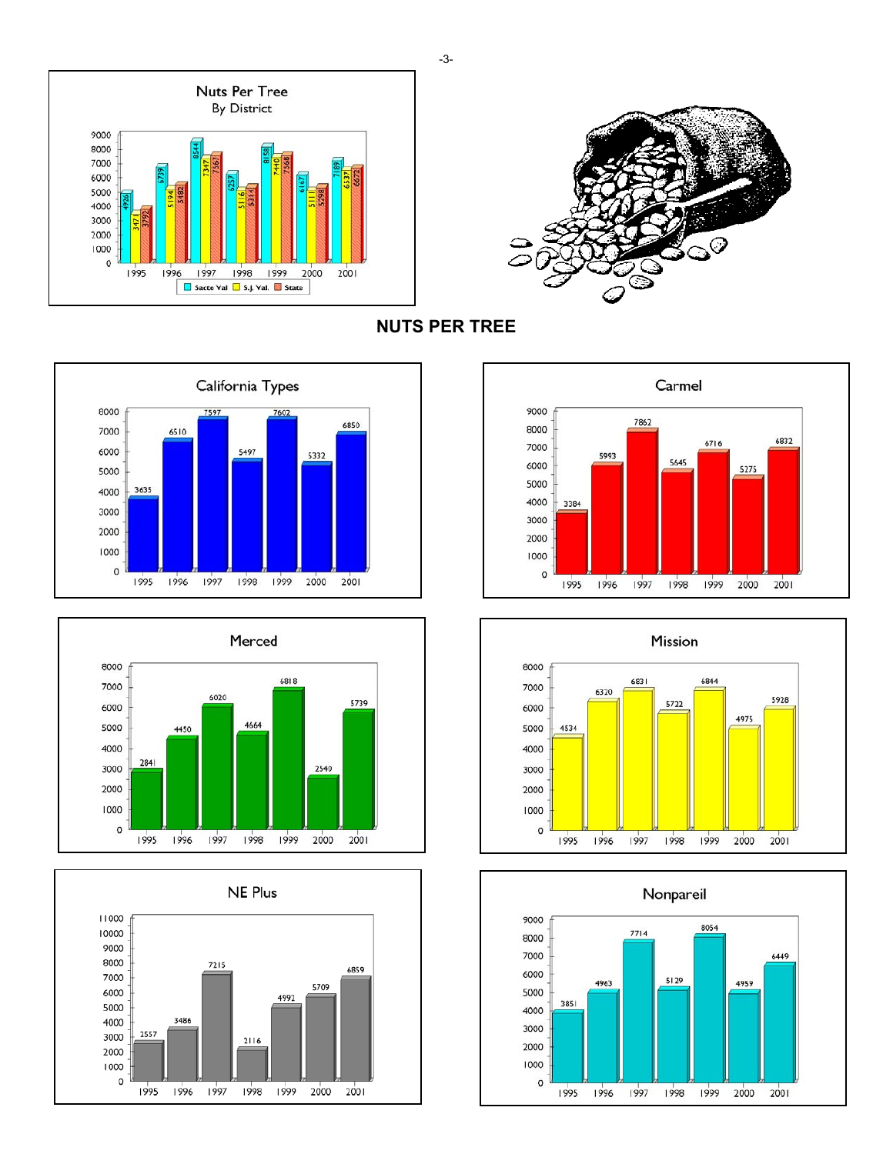



**NUTS PER TREE**













-3-